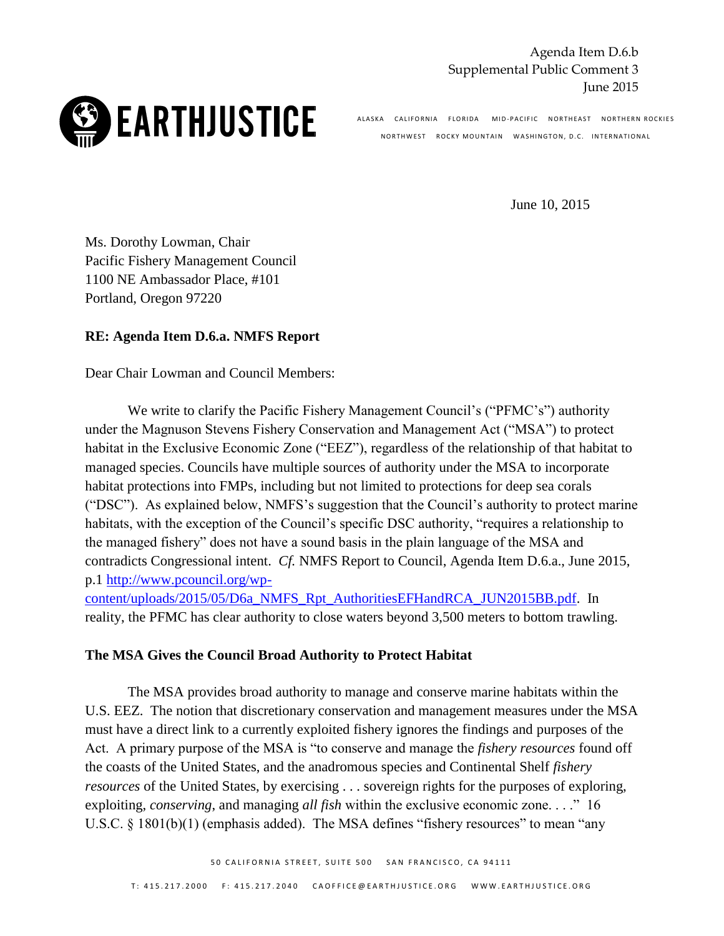Agenda Item D.6.b Supplemental Public Comment 3 June 2015



ALASKA CALIFORNIA FLORIDA MID-PACIFIC NORTHEAST NORTHERN-ROCKIES NORTHWEST ROCKY MOUNTAIN WASHINGTON, D.C. INTERNATIONAL

June 10, 2015

Ms. Dorothy Lowman, Chair Pacific Fishery Management Council 1100 NE Ambassador Place, #101 Portland, Oregon 97220

## **RE: Agenda Item D.6.a. NMFS Report**

Dear Chair Lowman and Council Members:

We write to clarify the Pacific Fishery Management Council's ("PFMC's") authority under the Magnuson Stevens Fishery Conservation and Management Act ("MSA") to protect habitat in the Exclusive Economic Zone ("EEZ"), regardless of the relationship of that habitat to managed species. Councils have multiple sources of authority under the MSA to incorporate habitat protections into FMPs, including but not limited to protections for deep sea corals ("DSC"). As explained below, NMFS's suggestion that the Council's authority to protect marine habitats, with the exception of the Council's specific DSC authority, "requires a relationship to the managed fishery" does not have a sound basis in the plain language of the MSA and contradicts Congressional intent. *Cf.* NMFS Report to Council, Agenda Item D.6.a., June 2015, p.1 [http://www.pcouncil.org/wp-](http://www.pcouncil.org/wp-content/uploads/2015/05/D6a_NMFS_Rpt_AuthoritiesEFHandRCA_JUN2015BB.pdf)

[content/uploads/2015/05/D6a\\_NMFS\\_Rpt\\_AuthoritiesEFHandRCA\\_JUN2015BB.pdf.](http://www.pcouncil.org/wp-content/uploads/2015/05/D6a_NMFS_Rpt_AuthoritiesEFHandRCA_JUN2015BB.pdf) In reality, the PFMC has clear authority to close waters beyond 3,500 meters to bottom trawling.

## **The MSA Gives the Council Broad Authority to Protect Habitat**

The MSA provides broad authority to manage and conserve marine habitats within the U.S. EEZ. The notion that discretionary conservation and management measures under the MSA must have a direct link to a currently exploited fishery ignores the findings and purposes of the Act. A primary purpose of the MSA is "to conserve and manage the *fishery resources* found off the coasts of the United States, and the anadromous species and Continental Shelf *fishery resources* of the United States, by exercising . . . sovereign rights for the purposes of exploring, exploiting, *conserving*, and managing *all fish* within the exclusive economic zone. . . ." 16 U.S.C. § 1801(b)(1) (emphasis added). The MSA defines "fishery resources" to mean "any

50 CALIFORNIA STREET. SUITE 500 SAN FRANCISCO. CA 94111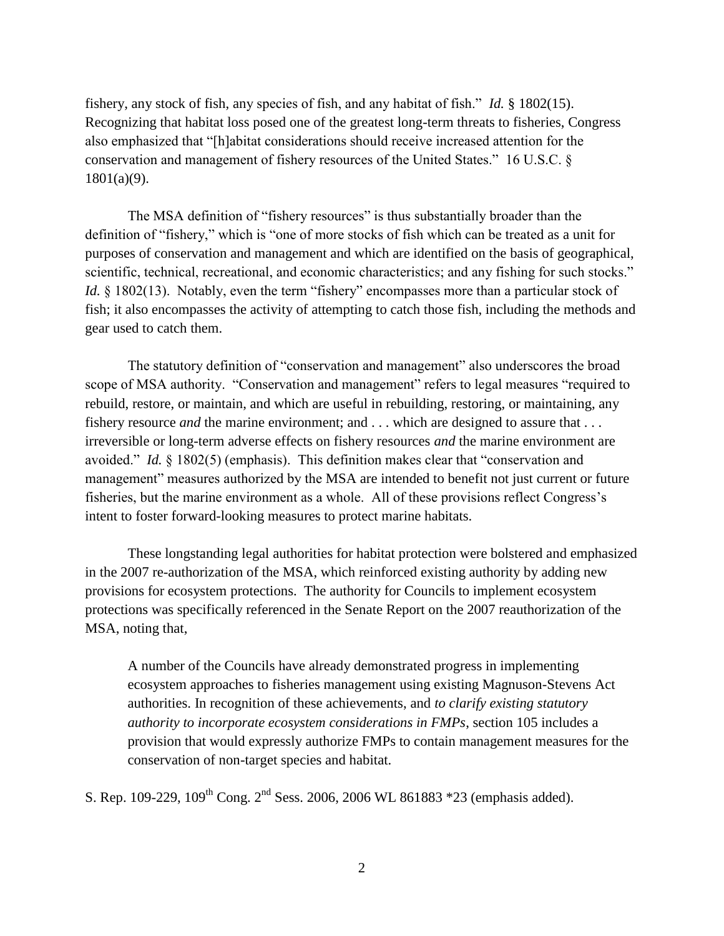fishery, any stock of fish, any species of fish, and any habitat of fish." *Id.* § 1802(15). Recognizing that habitat loss posed one of the greatest long-term threats to fisheries, Congress also emphasized that "[h]abitat considerations should receive increased attention for the conservation and management of fishery resources of the United States." 16 U.S.C. § 1801(a)(9).

The MSA definition of "fishery resources" is thus substantially broader than the definition of "fishery," which is "one of more stocks of fish which can be treated as a unit for purposes of conservation and management and which are identified on the basis of geographical, scientific, technical, recreational, and economic characteristics; and any fishing for such stocks." *Id.* § 1802(13). Notably, even the term "fishery" encompasses more than a particular stock of fish; it also encompasses the activity of attempting to catch those fish, including the methods and gear used to catch them.

The statutory definition of "conservation and management" also underscores the broad scope of MSA authority. "Conservation and management" refers to legal measures "required to rebuild, restore, or maintain, and which are useful in rebuilding, restoring, or maintaining, any fishery resource *and* the marine environment; and . . . which are designed to assure that . . . irreversible or long-term adverse effects on fishery resources *and* the marine environment are avoided." *Id.* § 1802(5) (emphasis). This definition makes clear that "conservation and management" measures authorized by the MSA are intended to benefit not just current or future fisheries, but the marine environment as a whole. All of these provisions reflect Congress's intent to foster forward-looking measures to protect marine habitats.

These longstanding legal authorities for habitat protection were bolstered and emphasized in the 2007 re-authorization of the MSA, which reinforced existing authority by adding new provisions for ecosystem protections. The authority for Councils to implement ecosystem protections was specifically referenced in the Senate Report on the 2007 reauthorization of the MSA, noting that,

A number of the Councils have already demonstrated progress in implementing ecosystem approaches to fisheries management using existing Magnuson-Stevens Act authorities. In recognition of these achievements, and *to clarify existing statutory authority to incorporate ecosystem considerations in FMPs*, section 105 includes a provision that would expressly authorize FMPs to contain management measures for the conservation of non-target species and habitat.

S. Rep. 109-229,  $109^{th}$  Cong.  $2^{nd}$  Sess. 2006, 2006 WL 861883 \*23 (emphasis added).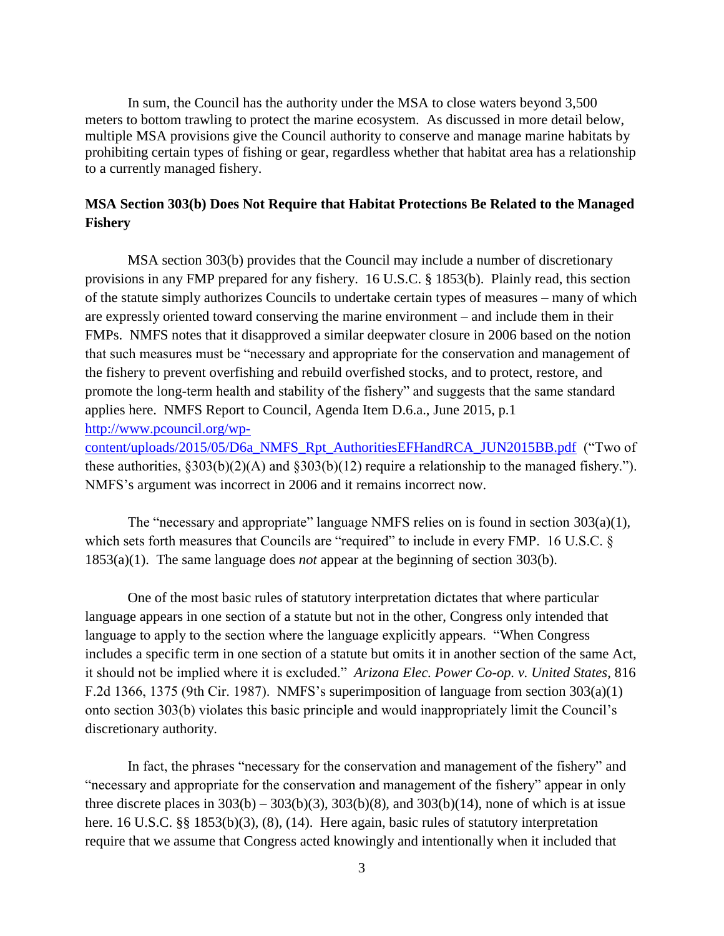In sum, the Council has the authority under the MSA to close waters beyond 3,500 meters to bottom trawling to protect the marine ecosystem. As discussed in more detail below, multiple MSA provisions give the Council authority to conserve and manage marine habitats by prohibiting certain types of fishing or gear, regardless whether that habitat area has a relationship to a currently managed fishery.

## **MSA Section 303(b) Does Not Require that Habitat Protections Be Related to the Managed Fishery**

MSA section 303(b) provides that the Council may include a number of discretionary provisions in any FMP prepared for any fishery. 16 U.S.C. § 1853(b). Plainly read, this section of the statute simply authorizes Councils to undertake certain types of measures – many of which are expressly oriented toward conserving the marine environment – and include them in their FMPs. NMFS notes that it disapproved a similar deepwater closure in 2006 based on the notion that such measures must be "necessary and appropriate for the conservation and management of the fishery to prevent overfishing and rebuild overfished stocks, and to protect, restore, and promote the long-term health and stability of the fishery" and suggests that the same standard applies here. NMFS Report to Council, Agenda Item D.6.a., June 2015, p.1 [http://www.pcouncil.org/wp-](http://www.pcouncil.org/wp-content/uploads/2015/05/D6a_NMFS_Rpt_AuthoritiesEFHandRCA_JUN2015BB.pdf)

[content/uploads/2015/05/D6a\\_NMFS\\_Rpt\\_AuthoritiesEFHandRCA\\_JUN2015BB.pdf](http://www.pcouncil.org/wp-content/uploads/2015/05/D6a_NMFS_Rpt_AuthoritiesEFHandRCA_JUN2015BB.pdf) ("Two of these authorities, §303(b)(2)(A) and §303(b)(12) require a relationship to the managed fishery."). NMFS's argument was incorrect in 2006 and it remains incorrect now.

The "necessary and appropriate" language NMFS relies on is found in section  $303(a)(1)$ , which sets forth measures that Councils are "required" to include in every FMP. 16 U.S.C. § 1853(a)(1). The same language does *not* appear at the beginning of section 303(b).

One of the most basic rules of statutory interpretation dictates that where particular language appears in one section of a statute but not in the other, Congress only intended that language to apply to the section where the language explicitly appears. "When Congress includes a specific term in one section of a statute but omits it in another section of the same Act, it should not be implied where it is excluded." *Arizona Elec. Power Co-op. v. United States*, 816 F.2d 1366, 1375 (9th Cir. 1987). NMFS's superimposition of language from section 303(a)(1) onto section 303(b) violates this basic principle and would inappropriately limit the Council's discretionary authority.

In fact, the phrases "necessary for the conservation and management of the fishery" and "necessary and appropriate for the conservation and management of the fishery" appear in only three discrete places in  $303(b) - 303(b)(3)$ ,  $303(b)(8)$ , and  $303(b)(14)$ , none of which is at issue here. 16 U.S.C. §§ 1853(b)(3), (8), (14). Here again, basic rules of statutory interpretation require that we assume that Congress acted knowingly and intentionally when it included that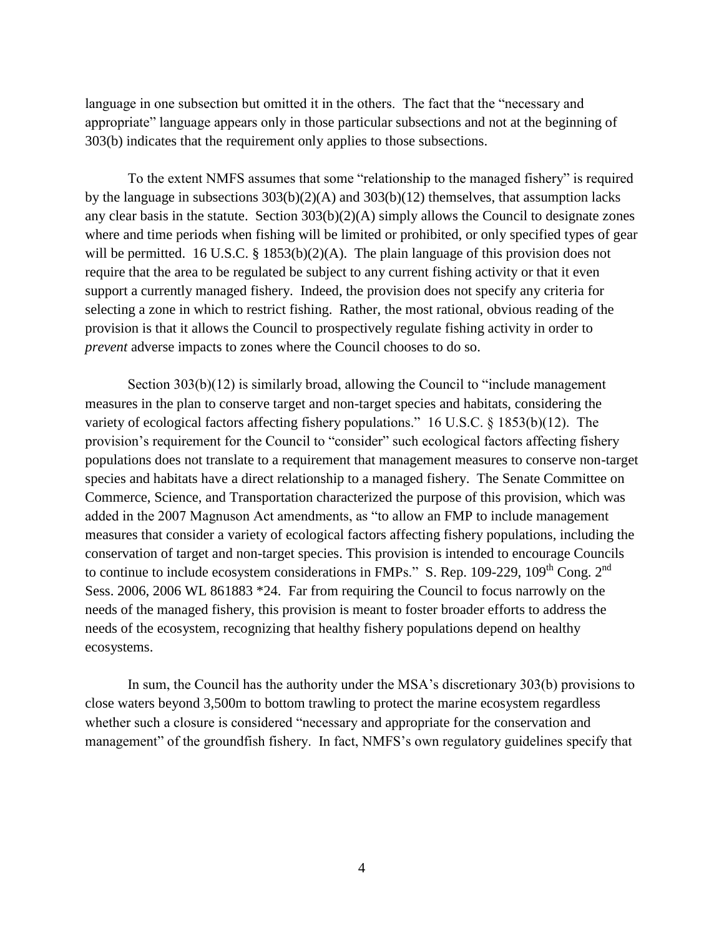language in one subsection but omitted it in the others. The fact that the "necessary and appropriate" language appears only in those particular subsections and not at the beginning of 303(b) indicates that the requirement only applies to those subsections.

To the extent NMFS assumes that some "relationship to the managed fishery" is required by the language in subsections 303(b)(2)(A) and 303(b)(12) themselves, that assumption lacks any clear basis in the statute. Section 303(b)(2)(A) simply allows the Council to designate zones where and time periods when fishing will be limited or prohibited, or only specified types of gear will be permitted. 16 U.S.C. § 1853(b)(2)(A). The plain language of this provision does not require that the area to be regulated be subject to any current fishing activity or that it even support a currently managed fishery. Indeed, the provision does not specify any criteria for selecting a zone in which to restrict fishing. Rather, the most rational, obvious reading of the provision is that it allows the Council to prospectively regulate fishing activity in order to *prevent* adverse impacts to zones where the Council chooses to do so.

Section 303(b)(12) is similarly broad, allowing the Council to "include management" measures in the plan to conserve target and non-target species and habitats, considering the variety of ecological factors affecting fishery populations." 16 U.S.C. § 1853(b)(12). The provision's requirement for the Council to "consider" such ecological factors affecting fishery populations does not translate to a requirement that management measures to conserve non-target species and habitats have a direct relationship to a managed fishery. The Senate Committee on Commerce, Science, and Transportation characterized the purpose of this provision, which was added in the 2007 Magnuson Act amendments, as "to allow an FMP to include management measures that consider a variety of ecological factors affecting fishery populations, including the conservation of target and non-target species. This provision is intended to encourage Councils to continue to include ecosystem considerations in FMPs." S. Rep. 109-229, 109<sup>th</sup> Cong. 2<sup>nd</sup> Sess. 2006, 2006 WL 861883 \*24. Far from requiring the Council to focus narrowly on the needs of the managed fishery, this provision is meant to foster broader efforts to address the needs of the ecosystem, recognizing that healthy fishery populations depend on healthy ecosystems.

In sum, the Council has the authority under the MSA's discretionary 303(b) provisions to close waters beyond 3,500m to bottom trawling to protect the marine ecosystem regardless whether such a closure is considered "necessary and appropriate for the conservation and management" of the groundfish fishery. In fact, NMFS's own regulatory guidelines specify that